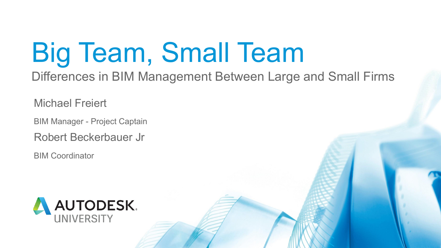# Big Team, Small Team Differences in BIM Management Between Large and Small Firms

Michael Freiert

BIM Manager - Project Captain

Robert Beckerbauer Jr

BIM Coordinator



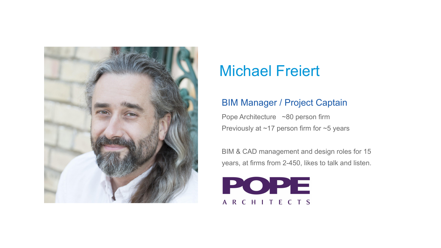

### Michael Freiert

Pope Architecture ~80 person firm Previously at ~17 person firm for ~5 years

#### BIM Manager / Project Captain

BIM & CAD management and design roles for 15 years, at firms from 2-450, likes to talk and listen.

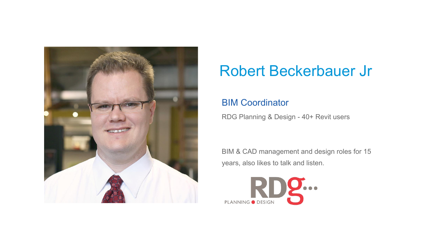

### Robert Beckerbauer Jr

#### BIM Coordinator

RDG Planning & Design - 40+ Revit users

BIM & CAD management and design roles for 15 years, also likes to talk and listen.

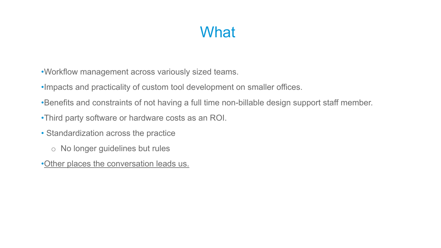#### What



- •Workflow management across variously sized teams.
- •Impacts and practicality of custom tool development on smaller offices.
- •Benefits and constraints of not having a full time non-billable design support staff member.
- •Third party software or hardware costs as an ROI.
- Standardization across the practice
	- o No longer guidelines but rules
- •Other places the conversation leads us.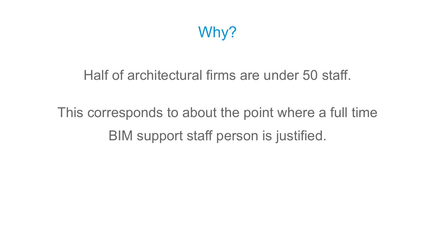

#### Half of architectural firms are under 50 staff.

## This corresponds to about the point where a full time BIM support staff person is justified.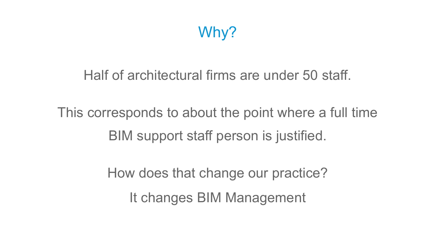

- Half of architectural firms are under 50 staff.
- This corresponds to about the point where a full time BIM support staff person is justified.

- How does that change our practice?
	- It changes BIM Management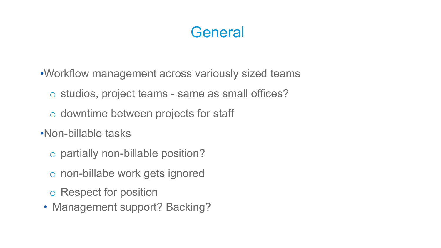- •Workflow management across variously sized teams
	- o studios, project teams same as small offices?
	- o downtime between projects for staff
- •Non-billable tasks
	- o partially non-billable position?
	- o non-billabe work gets ignored
	- o Respect for position
- Management support? Backing?

#### **General**

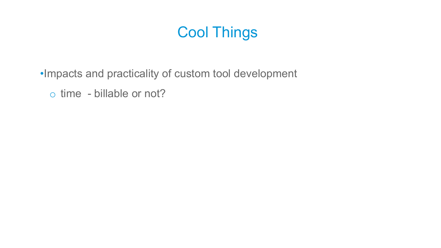## Cool Things

#### •Impacts and practicality of custom tool development o time - billable or not?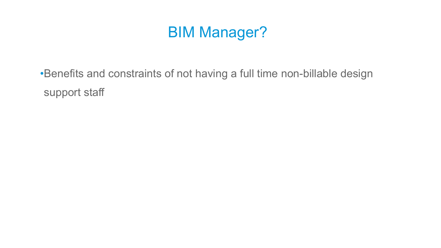

#### •Benefits and constraints of not having a full time non-billable design support staff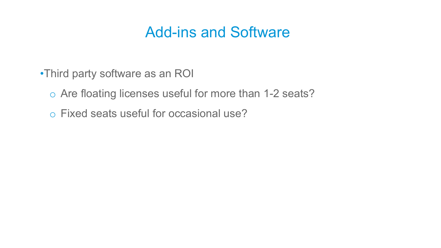#### Add-ins and Software

•Third party software as an ROI o Are floating licenses useful for more than 1-2 seats? o Fixed seats useful for occasional use?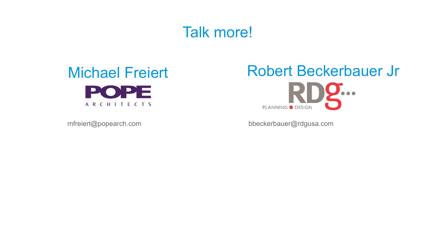#### Talk more!

#### Michael Freiert POPE ARCHITECTS

#### Robert Beckerbauer Jr J... **PLANNING O DESIGN**

mfreiert@popearch.com

bbeckerbauer@rdgusa.com